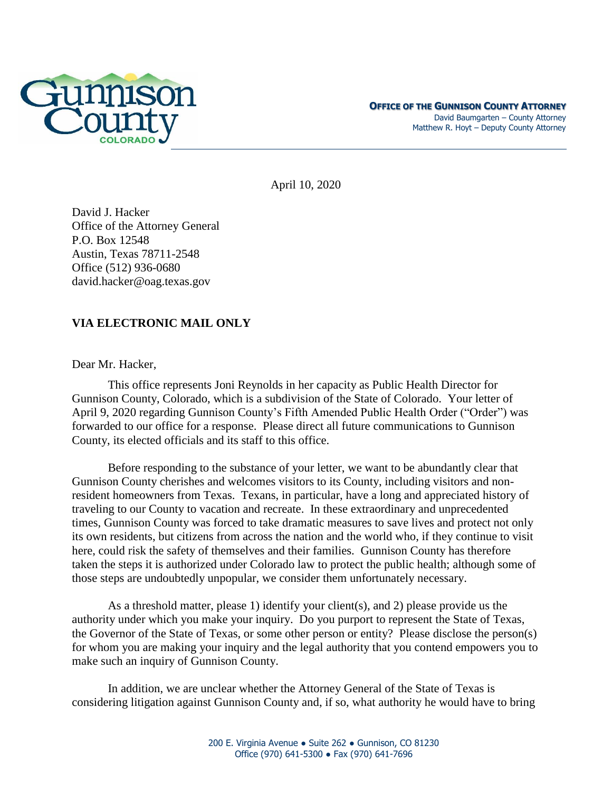

April 10, 2020

David J. Hacker Office of the Attorney General P.O. Box 12548 Austin, Texas 78711-2548 Office (512) 936-0680 [david.hacker@oag.texas.gov](mailto:david.hacker@oag.texas.gov)

## **VIA ELECTRONIC MAIL ONLY**

Dear Mr. Hacker,

This office represents Joni Reynolds in her capacity as Public Health Director for Gunnison County, Colorado, which is a subdivision of the State of Colorado. Your letter of April 9, 2020 regarding Gunnison County's Fifth Amended Public Health Order ("Order") was forwarded to our office for a response. Please direct all future communications to Gunnison County, its elected officials and its staff to this office.

Before responding to the substance of your letter, we want to be abundantly clear that Gunnison County cherishes and welcomes visitors to its County, including visitors and nonresident homeowners from Texas. Texans, in particular, have a long and appreciated history of traveling to our County to vacation and recreate. In these extraordinary and unprecedented times, Gunnison County was forced to take dramatic measures to save lives and protect not only its own residents, but citizens from across the nation and the world who, if they continue to visit here, could risk the safety of themselves and their families. Gunnison County has therefore taken the steps it is authorized under Colorado law to protect the public health; although some of those steps are undoubtedly unpopular, we consider them unfortunately necessary.

As a threshold matter, please 1) identify your client(s), and 2) please provide us the authority under which you make your inquiry. Do you purport to represent the State of Texas, the Governor of the State of Texas, or some other person or entity? Please disclose the person(s) for whom you are making your inquiry and the legal authority that you contend empowers you to make such an inquiry of Gunnison County.

In addition, we are unclear whether the Attorney General of the State of Texas is considering litigation against Gunnison County and, if so, what authority he would have to bring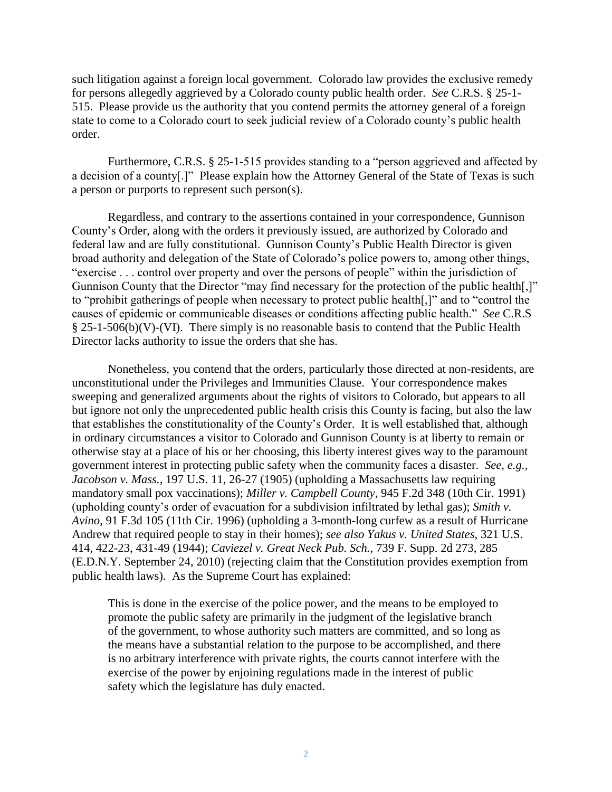such litigation against a foreign local government. Colorado law provides the exclusive remedy for persons allegedly aggrieved by a Colorado county public health order. *See* C.R.S. § 25-1- 515. Please provide us the authority that you contend permits the attorney general of a foreign state to come to a Colorado court to seek judicial review of a Colorado county's public health order.

Furthermore, C.R.S. § 25-1-515 provides standing to a "person aggrieved and affected by a decision of a county[.]" Please explain how the Attorney General of the State of Texas is such a person or purports to represent such person(s).

Regardless, and contrary to the assertions contained in your correspondence, Gunnison County's Order, along with the orders it previously issued, are authorized by Colorado and federal law and are fully constitutional. Gunnison County's Public Health Director is given broad authority and delegation of the State of Colorado's police powers to, among other things, "exercise . . . control over property and over the persons of people" within the jurisdiction of Gunnison County that the Director "may find necessary for the protection of the public health[,]" to "prohibit gatherings of people when necessary to protect public health[,]" and to "control the causes of epidemic or communicable diseases or conditions affecting public health." *See* C.R.S  $§$  25-1-506(b)(V)-(VI). There simply is no reasonable basis to contend that the Public Health Director lacks authority to issue the orders that she has.

Nonetheless, you contend that the orders, particularly those directed at non-residents, are unconstitutional under the Privileges and Immunities Clause. Your correspondence makes sweeping and generalized arguments about the rights of visitors to Colorado, but appears to all but ignore not only the unprecedented public health crisis this County is facing, but also the law that establishes the constitutionality of the County's Order. It is well established that, although in ordinary circumstances a visitor to Colorado and Gunnison County is at liberty to remain or otherwise stay at a place of his or her choosing, this liberty interest gives way to the paramount government interest in protecting public safety when the community faces a disaster. *See, e.g., Jacobson v. Mass.*, 197 U.S. 11, 26-27 (1905) (upholding a Massachusetts law requiring mandatory small pox vaccinations); *Miller v. Campbell County*, 945 F.2d 348 (10th Cir. 1991) (upholding county's order of evacuation for a subdivision infiltrated by lethal gas); *Smith v. Avino*, 91 F.3d 105 (11th Cir. 1996) (upholding a 3-month-long curfew as a result of Hurricane Andrew that required people to stay in their homes); *see also Yakus v. United States*, 321 U.S. 414, 422-23, 431-49 (1944); *Caviezel v. Great Neck Pub. Sch.*, 739 F. Supp. 2d 273, 285 (E.D.N.Y. September 24, 2010) (rejecting claim that the Constitution provides exemption from public health laws). As the Supreme Court has explained:

This is done in the exercise of the police power, and the means to be employed to promote the public safety are primarily in the judgment of the legislative branch of the government, to whose authority such matters are committed, and so long as the means have a substantial relation to the purpose to be accomplished, and there is no arbitrary interference with private rights, the courts cannot interfere with the exercise of the power by enjoining regulations made in the interest of public safety which the legislature has duly enacted.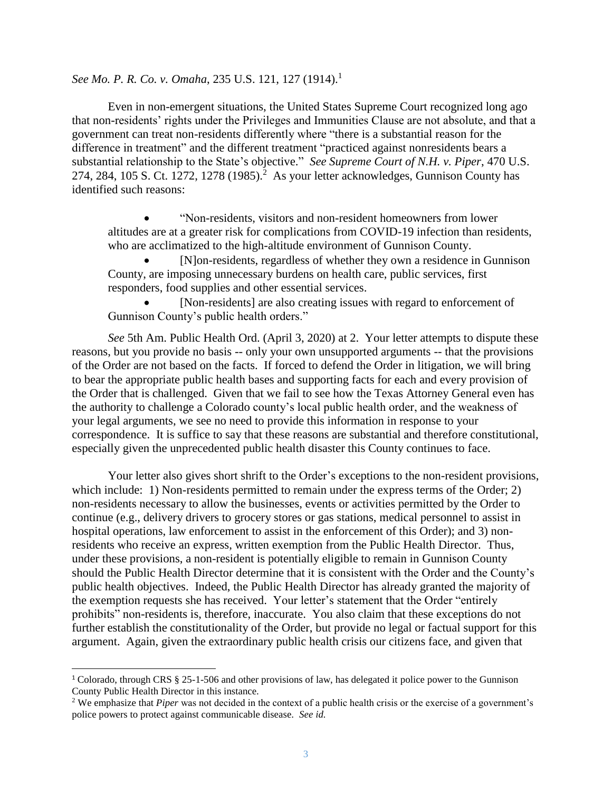*See Mo. P. R. Co. v. Omaha*, 235 U.S. 121, 127 (1914). 1

Even in non-emergent situations, the United States Supreme Court recognized long ago that non-residents' rights under the Privileges and Immunities Clause are not absolute, and that a government can treat non-residents differently where "there is a substantial reason for the difference in treatment" and the different treatment "practiced against nonresidents bears a substantial relationship to the State's objective." *See Supreme Court of N.H. v. Piper*, 470 U.S. 274, 284, 105 S. Ct. 1272, 1278 (1985).<sup>2</sup> As your letter acknowledges, Gunnison County has identified such reasons:

 "Non-residents, visitors and non-resident homeowners from lower altitudes are at a greater risk for complications from COVID-19 infection than residents, who are acclimatized to the high-altitude environment of Gunnison County.

 [N]on-residents, regardless of whether they own a residence in Gunnison County, are imposing unnecessary burdens on health care, public services, first responders, food supplies and other essential services.

 [Non-residents] are also creating issues with regard to enforcement of Gunnison County's public health orders."

*See* 5th Am. Public Health Ord. (April 3, 2020) at 2. Your letter attempts to dispute these reasons, but you provide no basis -- only your own unsupported arguments -- that the provisions of the Order are not based on the facts. If forced to defend the Order in litigation, we will bring to bear the appropriate public health bases and supporting facts for each and every provision of the Order that is challenged. Given that we fail to see how the Texas Attorney General even has the authority to challenge a Colorado county's local public health order, and the weakness of your legal arguments, we see no need to provide this information in response to your correspondence. It is suffice to say that these reasons are substantial and therefore constitutional, especially given the unprecedented public health disaster this County continues to face.

Your letter also gives short shrift to the Order's exceptions to the non-resident provisions, which include: 1) Non-residents permitted to remain under the express terms of the Order; 2) non-residents necessary to allow the businesses, events or activities permitted by the Order to continue (e.g., delivery drivers to grocery stores or gas stations, medical personnel to assist in hospital operations, law enforcement to assist in the enforcement of this Order); and 3) nonresidents who receive an express, written exemption from the Public Health Director. Thus, under these provisions, a non-resident is potentially eligible to remain in Gunnison County should the Public Health Director determine that it is consistent with the Order and the County's public health objectives. Indeed, the Public Health Director has already granted the majority of the exemption requests she has received. Your letter's statement that the Order "entirely prohibits" non-residents is, therefore, inaccurate. You also claim that these exceptions do not further establish the constitutionality of the Order, but provide no legal or factual support for this argument. Again, given the extraordinary public health crisis our citizens face, and given that

 $\overline{a}$ 

<sup>1</sup> Colorado, through CRS § 25-1-506 and other provisions of law, has delegated it police power to the Gunnison County Public Health Director in this instance.

<sup>&</sup>lt;sup>2</sup> We emphasize that *Piper* was not decided in the context of a public health crisis or the exercise of a government's police powers to protect against communicable disease. *See id.*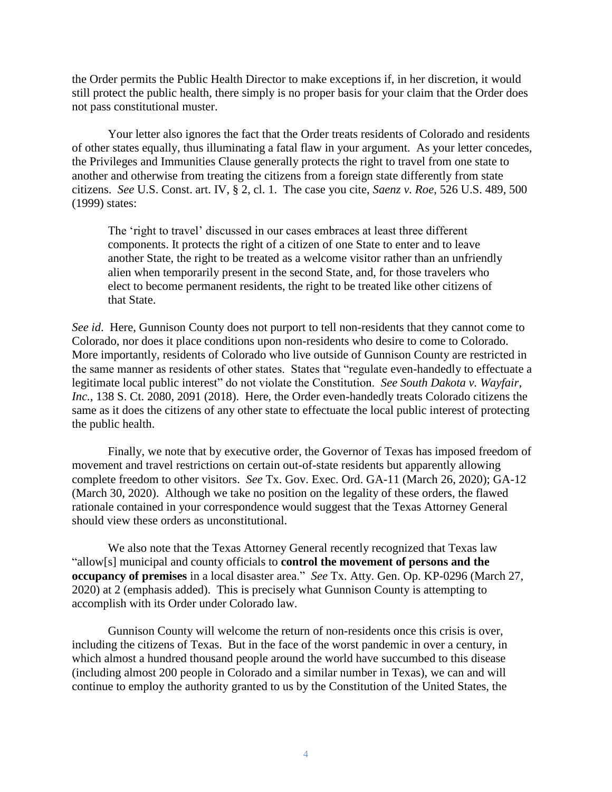the Order permits the Public Health Director to make exceptions if, in her discretion, it would still protect the public health, there simply is no proper basis for your claim that the Order does not pass constitutional muster.

Your letter also ignores the fact that the Order treats residents of Colorado and residents of other states equally, thus illuminating a fatal flaw in your argument. As your letter concedes, the Privileges and Immunities Clause generally protects the right to travel from one state to another and otherwise from treating the citizens from a foreign state differently from state citizens. *See* U.S. Const. art. IV, § 2, cl. 1. The case you cite, *Saenz v. Roe*, 526 U.S. 489, 500 (1999) states:

The 'right to travel' discussed in our cases embraces at least three different components. It protects the right of a citizen of one State to enter and to leave another State, the right to be treated as a welcome visitor rather than an unfriendly alien when temporarily present in the second State, and, for those travelers who elect to become permanent residents, the right to be treated like other citizens of that State.

*See id*. Here, Gunnison County does not purport to tell non-residents that they cannot come to Colorado, nor does it place conditions upon non-residents who desire to come to Colorado. More importantly, residents of Colorado who live outside of Gunnison County are restricted in the same manner as residents of other states. States that "regulate even-handedly to effectuate a legitimate local public interest" do not violate the Constitution. *See South Dakota v. Wayfair, Inc.*, 138 S. Ct. 2080, 2091 (2018). Here, the Order even-handedly treats Colorado citizens the same as it does the citizens of any other state to effectuate the local public interest of protecting the public health.

Finally, we note that by executive order, the Governor of Texas has imposed freedom of movement and travel restrictions on certain out-of-state residents but apparently allowing complete freedom to other visitors. *See* Tx. Gov. Exec. Ord. GA-11 (March 26, 2020); GA-12 (March 30, 2020). Although we take no position on the legality of these orders, the flawed rationale contained in your correspondence would suggest that the Texas Attorney General should view these orders as unconstitutional.

We also note that the Texas Attorney General recently recognized that Texas law "allow[s] municipal and county officials to **control the movement of persons and the occupancy of premises** in a local disaster area." *See* Tx. Atty. Gen. Op. KP-0296 (March 27, 2020) at 2 (emphasis added). This is precisely what Gunnison County is attempting to accomplish with its Order under Colorado law.

Gunnison County will welcome the return of non-residents once this crisis is over, including the citizens of Texas. But in the face of the worst pandemic in over a century, in which almost a hundred thousand people around the world have succumbed to this disease (including almost 200 people in Colorado and a similar number in Texas), we can and will continue to employ the authority granted to us by the Constitution of the United States, the